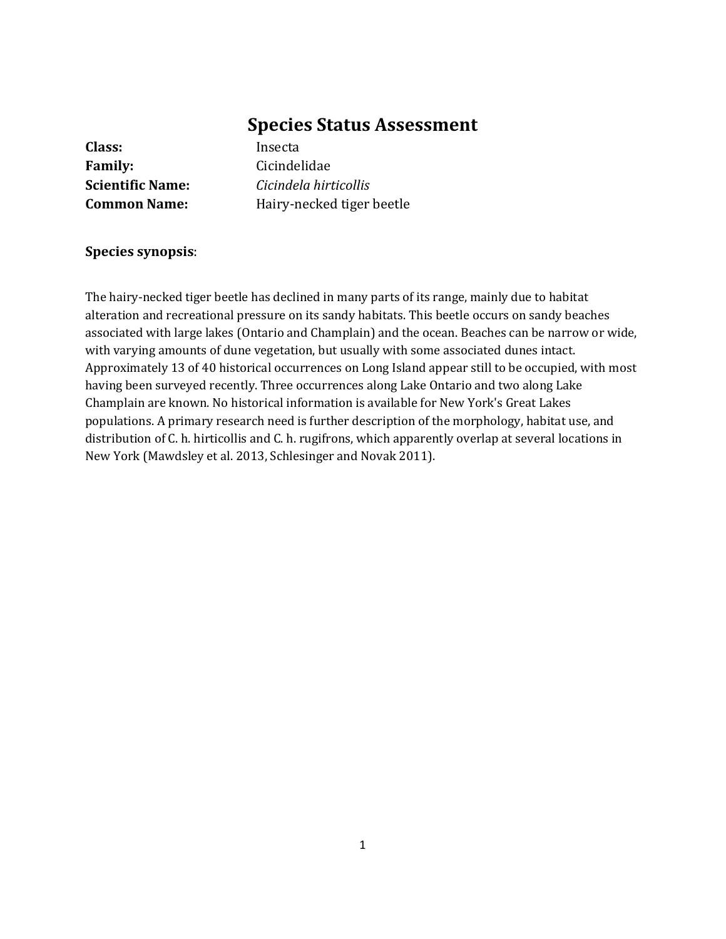# **Species Status Assessment**

**Class:** Insecta **Family:** Cicindelidae

**Scientific Name:** *Cicindela hirticollis* **Common Name:** Hairy-necked tiger beetle

#### **Species synopsis**:

The hairy-necked tiger beetle has declined in many parts of its range, mainly due to habitat alteration and recreational pressure on its sandy habitats. This beetle occurs on sandy beaches associated with large lakes (Ontario and Champlain) and the ocean. Beaches can be narrow or wide, with varying amounts of dune vegetation, but usually with some associated dunes intact. Approximately 13 of 40 historical occurrences on Long Island appear still to be occupied, with most having been surveyed recently. Three occurrences along Lake Ontario and two along Lake Champlain are known. No historical information is available for New York's Great Lakes populations. A primary research need is further description of the morphology, habitat use, and distribution of C. h. hirticollis and C. h. rugifrons, which apparently overlap at several locations in New York (Mawdsley et al. 2013, Schlesinger and Novak 2011).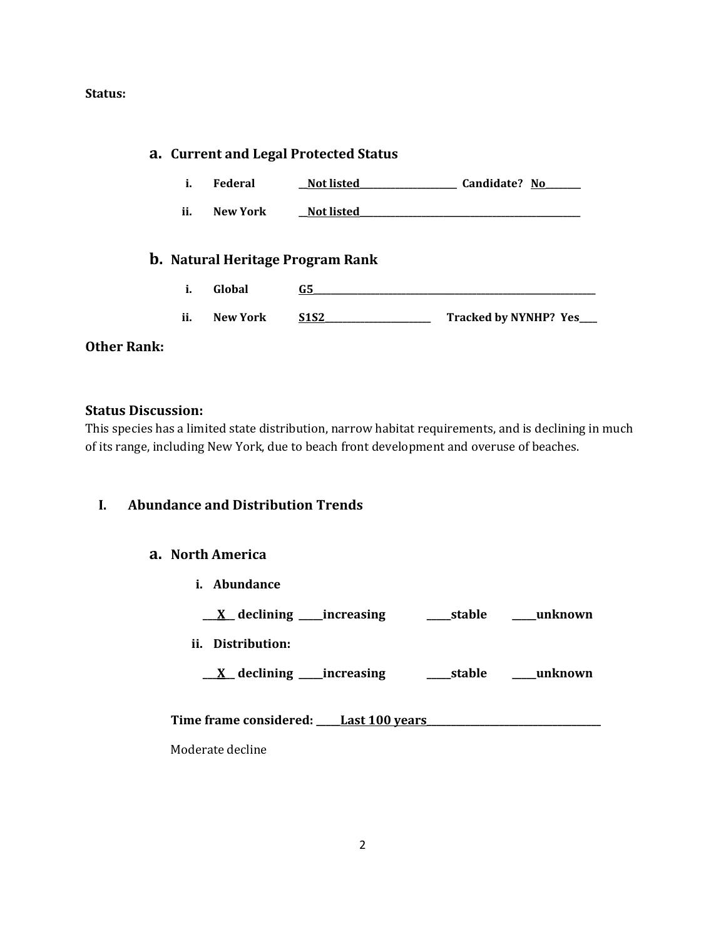#### **Status:**

|                    |     |                 | a. Current and Legal Protected Status   |                          |
|--------------------|-----|-----------------|-----------------------------------------|--------------------------|
|                    | i.  | Federal         | <b>Not listed</b>                       | Candidate? No            |
|                    | ii. | <b>New York</b> | <b>Not listed</b>                       |                          |
|                    |     |                 | <b>b.</b> Natural Heritage Program Rank |                          |
|                    | i.  | Global          | G5                                      |                          |
|                    | ii. | <b>New York</b> | <u>S1S2</u>                             | Tracked by NYNHP? Yes___ |
| <b>Other Rank:</b> |     |                 |                                         |                          |

#### **Status Discussion:**

This species has a limited state distribution, narrow habitat requirements, and is declining in much of its range, including New York, due to beach front development and overuse of beaches.

#### **I. Abundance and Distribution Trends**

#### **a. North America**

**i. Abundance**

**\_\_\_X\_\_ declining \_\_\_\_\_increasing \_\_\_\_\_stable \_\_\_\_\_unknown**

**ii. Distribution:**

**\_\_\_X\_\_ declining \_\_\_\_\_increasing \_\_\_\_\_stable \_\_\_\_\_unknown**

Time frame considered: Last 100 years

Moderate decline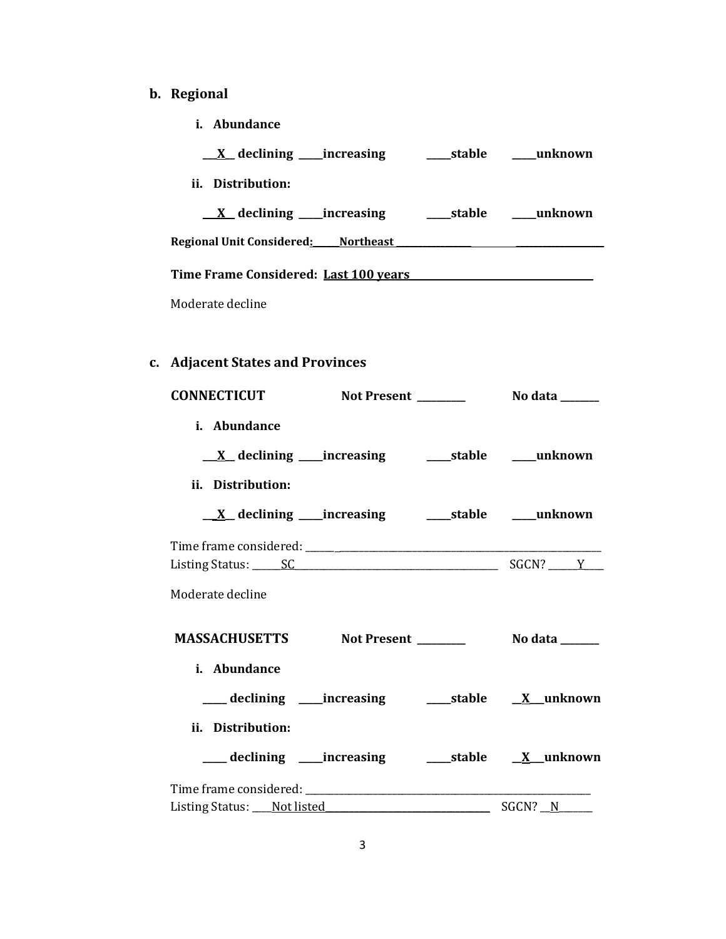# **b. Regional**

**i. Abundance**

| <u>X</u> declining _____increasing         | ____stable | unknown |
|--------------------------------------------|------------|---------|
| ii.<br>Distribution:                       |            |         |
| $\underline{X}$ declining _____ increasing | ____stable | unknown |
| Regional Unit Considered: Northeast        |            |         |
| Time Frame Considered: Last 100 years      |            |         |
| Moderate decline                           |            |         |

# **c. Adjacent States and Provinces**

| i. Abundance                                                       |  |             |
|--------------------------------------------------------------------|--|-------------|
|                                                                    |  |             |
| ii. Distribution:                                                  |  |             |
|                                                                    |  |             |
| Listing Status: <u>SC SC SC Status</u> SGCN? Notice that the SGCN? |  |             |
| Moderate decline                                                   |  |             |
|                                                                    |  |             |
| i. Abundance                                                       |  |             |
| ___ declining ____increasing _______stable ___ X__unknown          |  |             |
| ii. Distribution:                                                  |  |             |
| ___ declining ____increasing ______stable _____X__unknown          |  |             |
|                                                                    |  |             |
|                                                                    |  | $SGCN?$ $N$ |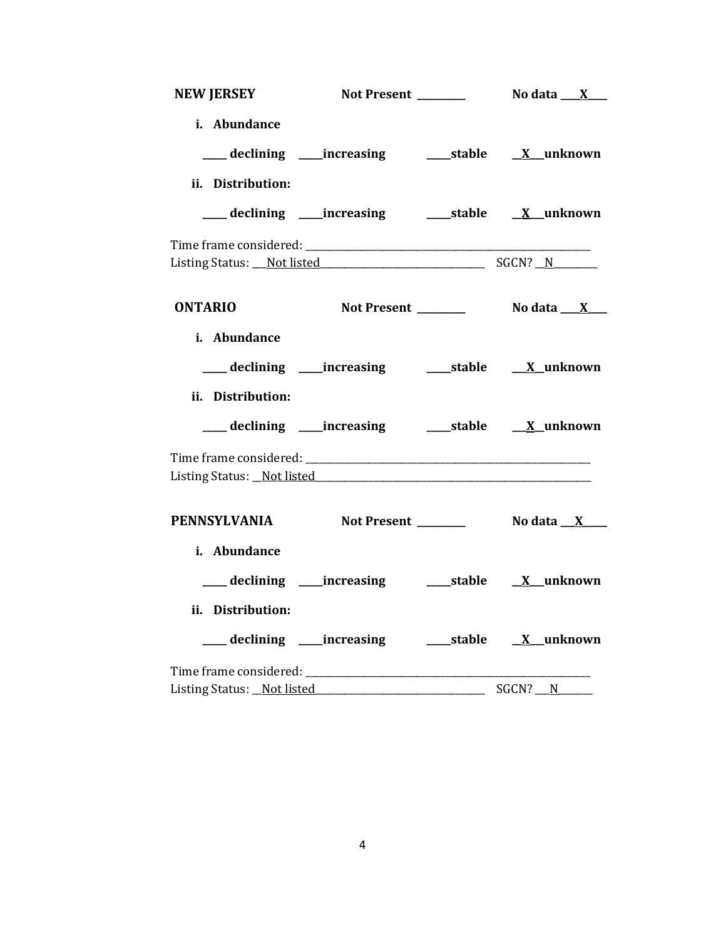| <b>NEW JERSEY</b>           |                                                           |                          |
|-----------------------------|-----------------------------------------------------------|--------------------------|
| i. Abundance                |                                                           |                          |
|                             | ___ declining ____increasing ______stable ___ X__unknown  |                          |
| ii. Distribution:           |                                                           |                          |
|                             | ___ declining ____increasing ______stable _____X__unknown |                          |
|                             |                                                           |                          |
|                             | Listing Status: Not listed Status And SGCN? N             |                          |
| <b>ONTARIO</b>              | Not Present _______                                       | No data __ <u>__X___</u> |
| i. Abundance                |                                                           |                          |
|                             |                                                           |                          |
| ii. Distribution:           |                                                           |                          |
|                             | declining ____increasing _______stable _____X_unknown     |                          |
|                             |                                                           |                          |
|                             |                                                           |                          |
|                             | PENNSYLVANIA Not Present ________ No data X___            |                          |
| i. Abundance                |                                                           |                          |
|                             |                                                           |                          |
| ii. Distribution:           |                                                           |                          |
|                             | ___ declining ____increasing ______stable ___ X__unknown  |                          |
|                             |                                                           |                          |
| Listing Status: _Not listed |                                                           | SGCN? N                  |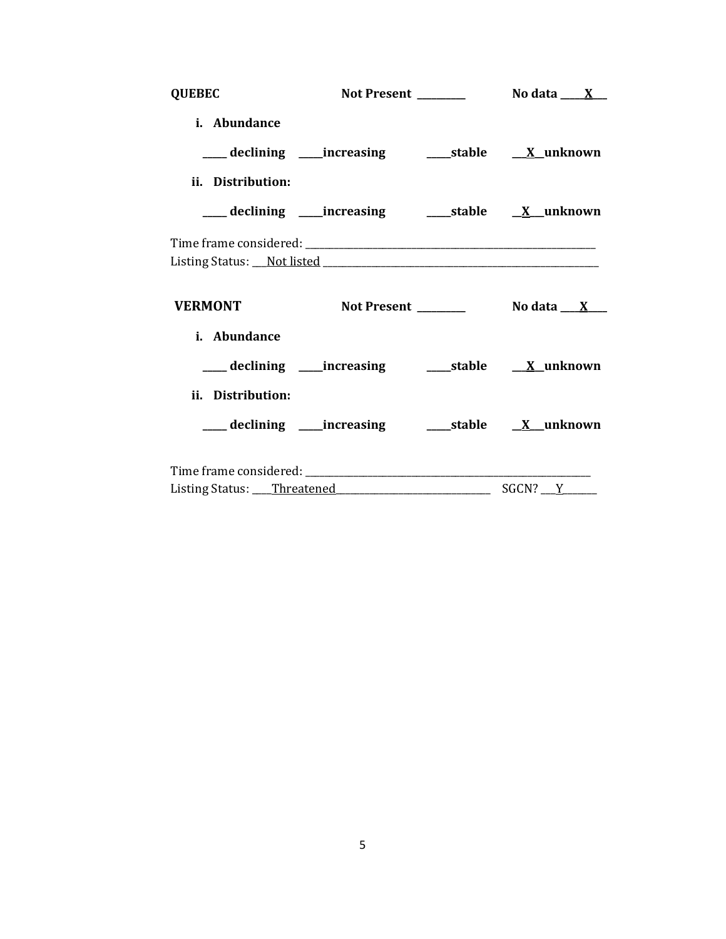| <b>QUEBEC</b>     |                                                            |  |
|-------------------|------------------------------------------------------------|--|
| i. Abundance      |                                                            |  |
|                   | ___declining ___increasing    ____stable <u>X</u> _unknown |  |
| ii. Distribution: |                                                            |  |
|                   | ___ declining ____increasing ______stable _____X__unknown  |  |
|                   |                                                            |  |
|                   |                                                            |  |
| <b>VERMONT</b>    |                                                            |  |
| i. Abundance      |                                                            |  |
|                   | ___declining ___increasing _____stable <u>X_</u> unknown   |  |
| ii. Distribution: |                                                            |  |
|                   |                                                            |  |
|                   |                                                            |  |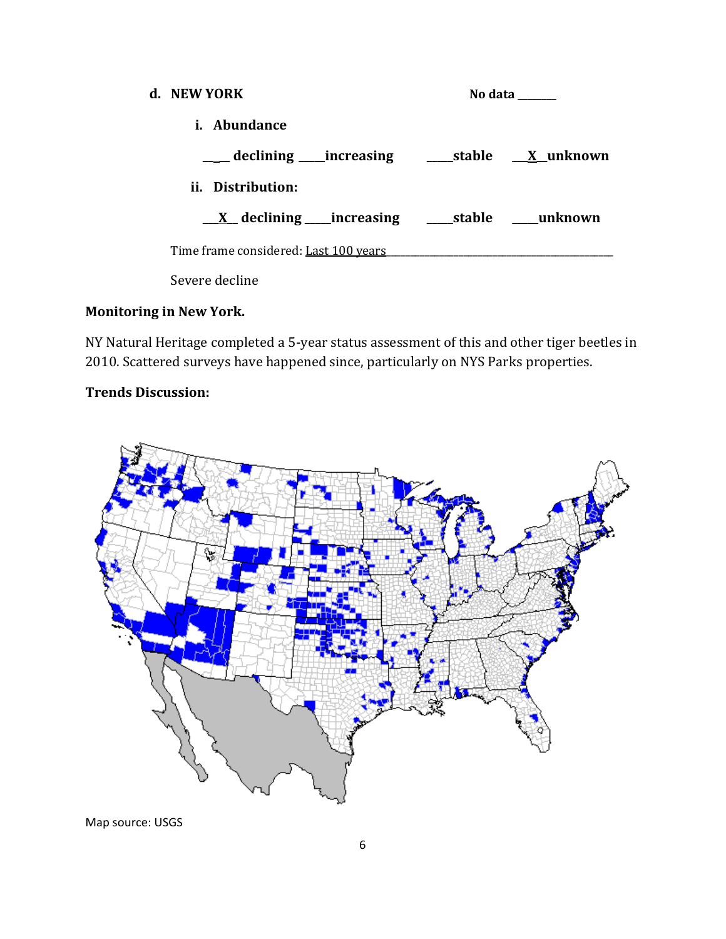| d. NEW YORK                                                | No data |  |  |
|------------------------------------------------------------|---------|--|--|
| <i>i.</i> Abundance                                        |         |  |  |
|                                                            |         |  |  |
| ii. Distribution:                                          |         |  |  |
| <u>_X</u> declining ____increasing _____stable ____unknown |         |  |  |
| Time frame considered: Last 100 years                      |         |  |  |
| Severe decline                                             |         |  |  |

## **Monitoring in New York.**

NY Natural Heritage completed a 5-year status assessment of this and other tiger beetles in 2010. Scattered surveys have happened since, particularly on NYS Parks properties.

# **Trends Discussion:**



Map source: USGS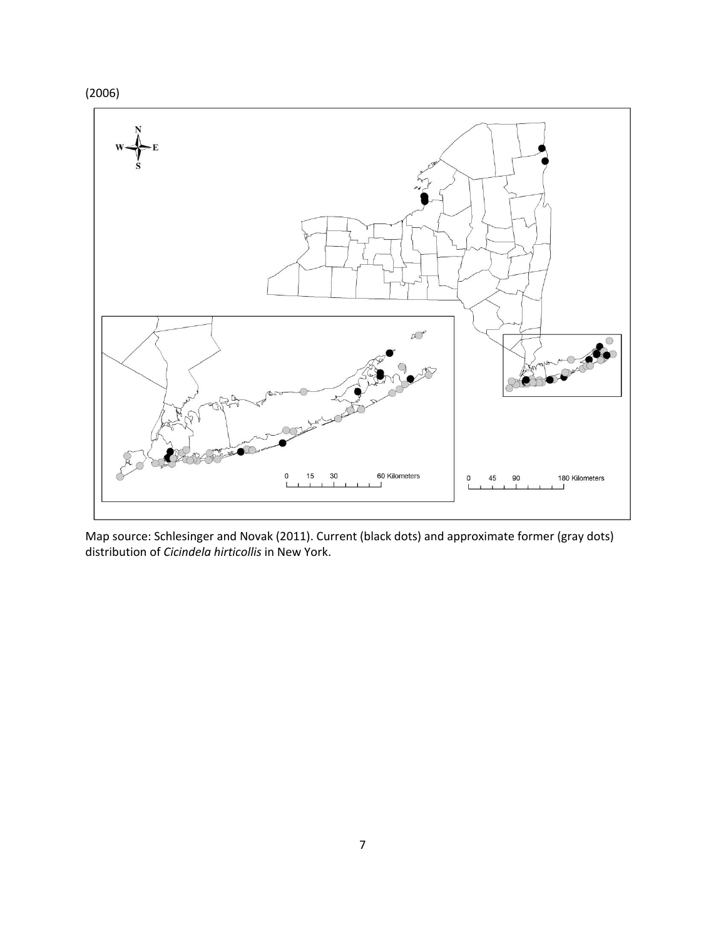



Map source: Schlesinger and Novak (2011). Current (black dots) and approximate former (gray dots) distribution of *Cicindela hirticollis* in New York.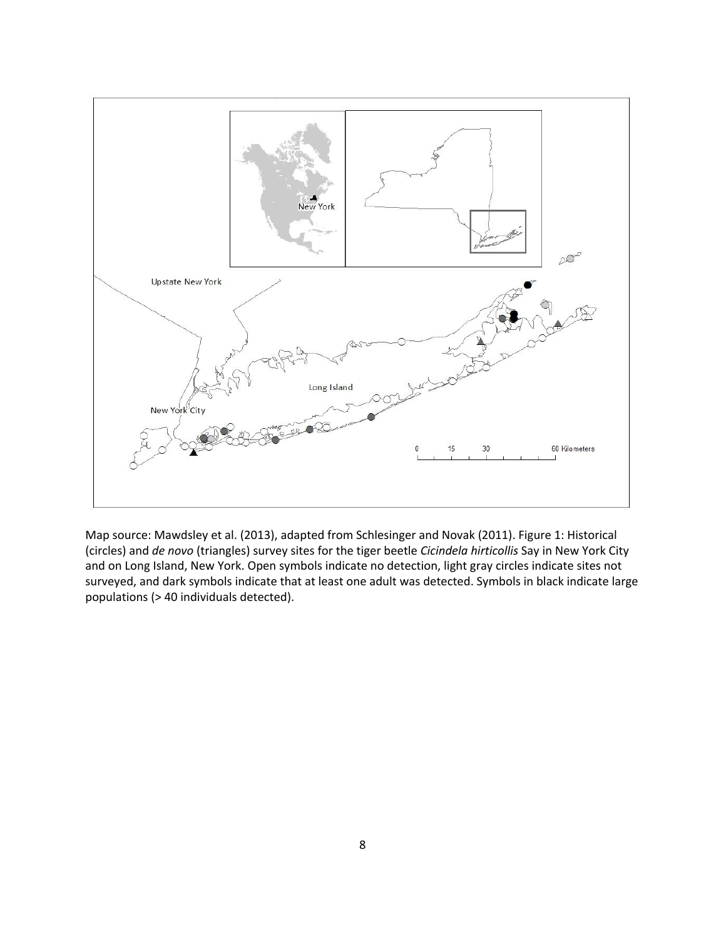

Map source: Mawdsley et al. (2013), adapted from Schlesinger and Novak (2011). Figure 1: Historical (circles) and *de novo* (triangles) survey sites for the tiger beetle *Cicindela hirticollis* Say in New York City and on Long Island, New York. Open symbols indicate no detection, light gray circles indicate sites not surveyed, and dark symbols indicate that at least one adult was detected. Symbols in black indicate large populations (> 40 individuals detected).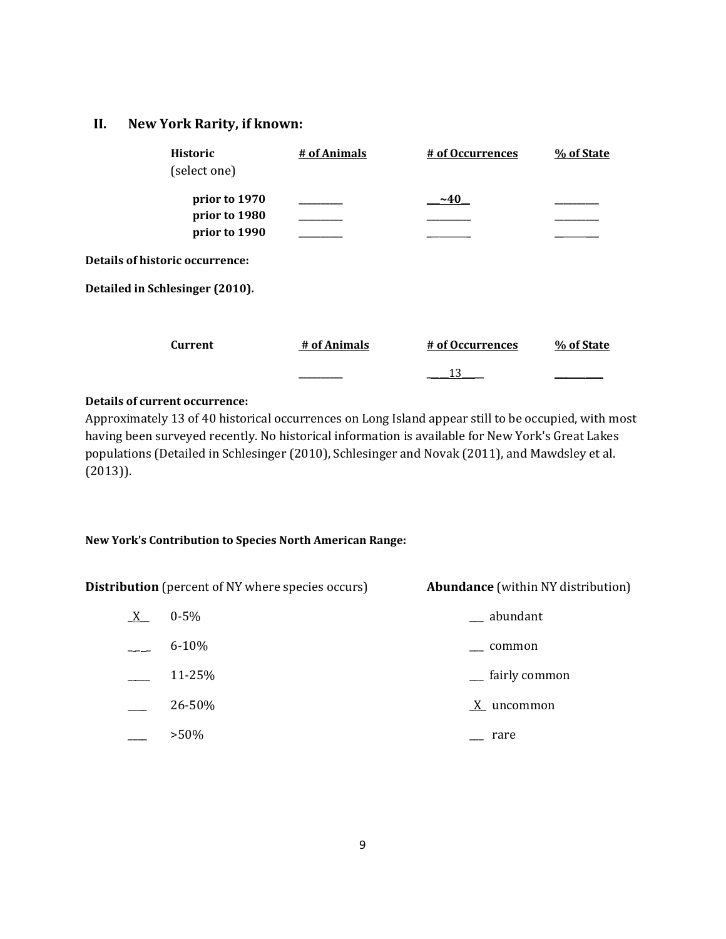#### **II. New York Rarity, if known:**

| <b>Historic</b><br>(select one)                 | # of Animals | # of Occurrences | % of State |
|-------------------------------------------------|--------------|------------------|------------|
| prior to 1970<br>prior to 1980<br>prior to 1990 |              | $~1$ $~40$       |            |
| Details of historic occurrence:                 |              |                  |            |
| Detailed in Schlesinger (2010).                 |              |                  |            |
| <b>Current</b>                                  | # of Animals | # of Occurrences | % of State |
|                                                 |              | 13               |            |

#### **Details of current occurrence:**

Approximately 13 of 40 historical occurrences on Long Island appear still to be occupied, with most having been surveyed recently. No historical information is available for New York's Great Lakes populations (Detailed in Schlesinger (2010), Schlesinger and Novak (2011), and Mawdsley et al. (2013)).

#### **New York's Contribution to Species North American Range:**

**Distribution** (percent of NY where species occurs) **Abundance** (within NY distribution)  $X$  0-5%  $\qquad \qquad$  abundant  $-$  6-10%  $-$  common

 $\sim$  11-25%  $\sim$  fairly common  $\frac{X}{X}$  uncommon  $\sim$  >50%  $\sim$  rare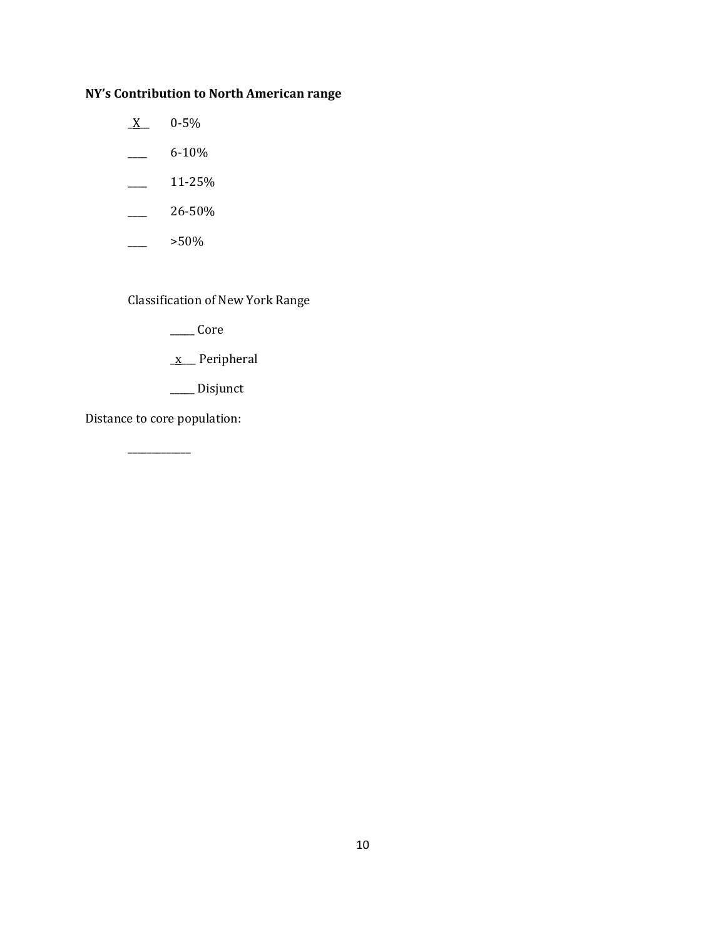# **NY's Contribution to North American range**

- $\underline{X}$  0-5%
- $-$  6-10%
- $\frac{11-25\%}{ }$
- $-26-50%$
- $>50\%$

Classification of New York Range

 $\_\_\_\_$ Core

- \_x\_\_\_ Peripheral
- \_\_\_\_\_ Disjunct

Distance to core population:

\_\_\_\_\_\_\_\_\_\_\_\_\_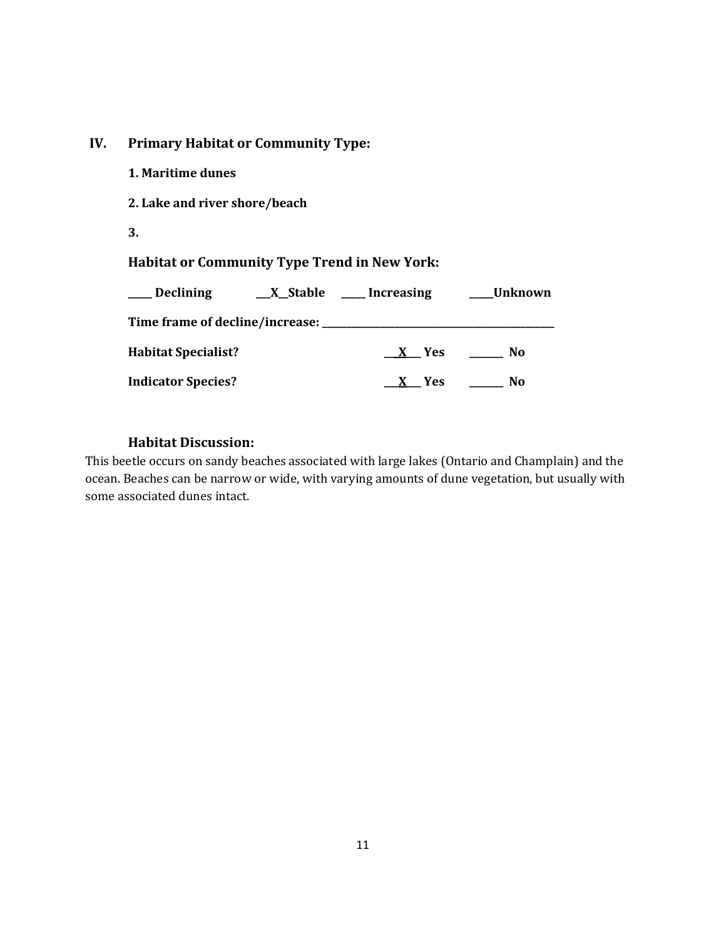### **IV. Primary Habitat or Community Type:**

| 1. Maritime dunes                                   |                                                                  |  |
|-----------------------------------------------------|------------------------------------------------------------------|--|
| 2. Lake and river shore/beach                       |                                                                  |  |
| 3.                                                  |                                                                  |  |
| <b>Habitat or Community Type Trend in New York:</b> |                                                                  |  |
|                                                     | ___ Declining ________ X__Stable _____ Increasing ______ Unknown |  |
|                                                     |                                                                  |  |
| <b>Habitat Specialist?</b>                          | X Yes No                                                         |  |
|                                                     |                                                                  |  |

#### **Habitat Discussion:**

This beetle occurs on sandy beaches associated with large lakes (Ontario and Champlain) and the ocean. Beaches can be narrow or wide, with varying amounts of dune vegetation, but usually with some associated dunes intact.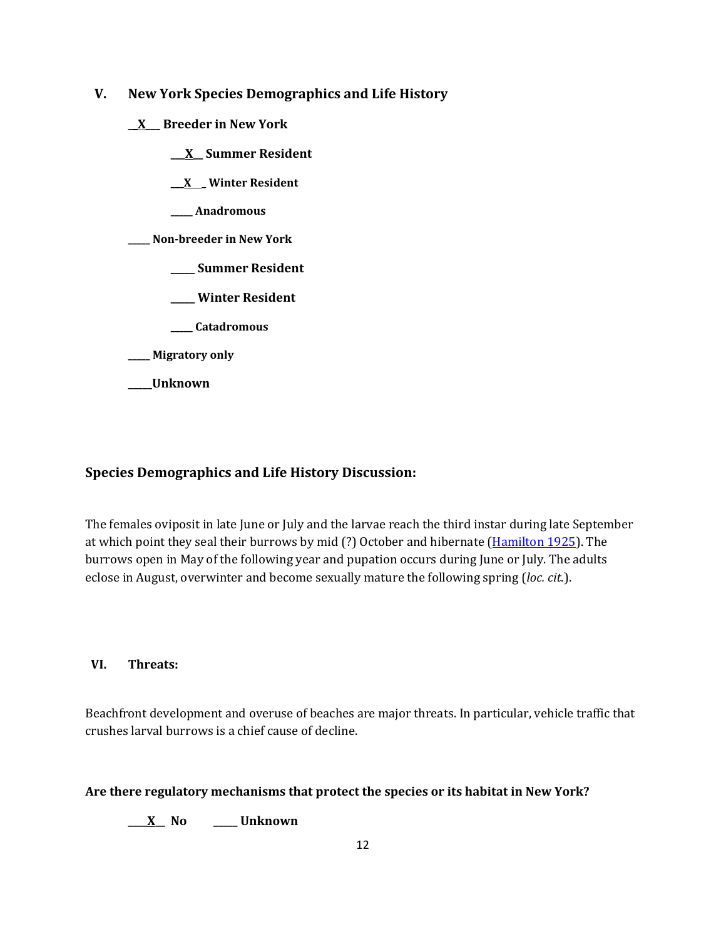- **V. New York Species Demographics and Life History**
	- **\_\_X\_\_\_ Breeder in New York**
		- **\_\_\_X\_\_ Summer Resident**

**\_\_\_X \_ Winter Resident**

**\_\_\_\_\_ Anadromous**

**\_\_\_\_\_ Non-breeder in New York**

- **\_\_\_\_\_ Summer Resident**
- **\_\_\_\_\_ Winter Resident**
- **\_\_\_\_\_ Catadromous**
- **\_\_\_\_\_ Migratory only**
- **\_\_\_\_\_Unknown**

### **Species Demographics and Life History Discussion:**

The females oviposit in late June or July and the larvae reach the third instar during late September at which point they seal their burrows by mid (?) October and hibernate [\(Hamilton 1925\)](http://www.biodiversity.uconn.edu/Collections/insects/CTBnew/references.htm). The burrows open in May of the following year and pupation occurs during June or July. The adults eclose in August, overwinter and become sexually mature the following spring (*loc. cit*.).

#### **VI. Threats:**

Beachfront development and overuse of beaches are major threats. In particular, vehicle traffic that crushes larval burrows is a chief cause of decline.

#### **Are there regulatory mechanisms that protect the species or its habitat in New York?**

**\_\_\_\_X\_\_ No \_\_\_\_\_ Unknown**